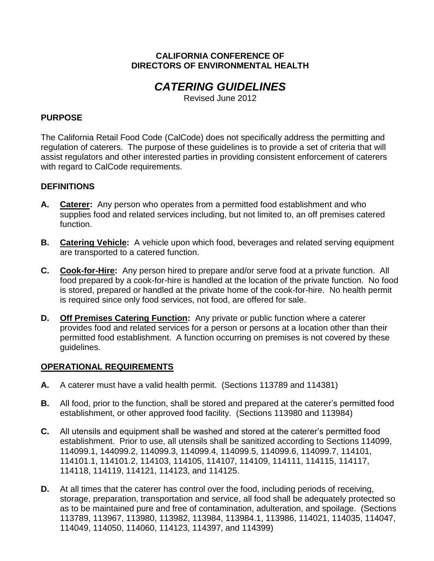#### **CALIFORNIA CONFERENCE OF DIRECTORS OF ENVIRONMENTAL HEALTH**

# *CATERING GUIDELINES*

Revised June 2012

## **PURPOSE**

The California Retail Food Code (CalCode) does not specifically address the permitting and regulation of caterers. The purpose of these guidelines is to provide a set of criteria that will assist regulators and other interested parties in providing consistent enforcement of caterers with regard to CalCode requirements.

#### **DEFINITIONS**

- **A. Caterer:** Any person who operates from a permitted food establishment and who supplies food and related services including, but not limited to, an off premises catered function.
- **B. Catering Vehicle:** A vehicle upon which food, beverages and related serving equipment are transported to a catered function.
- **C. Cook-for-Hire:** Any person hired to prepare and/or serve food at a private function. All food prepared by a cook-for-hire is handled at the location of the private function. No food is stored, prepared or handled at the private home of the cook-for-hire. No health permit is required since only food services, not food, are offered for sale.
- **D. Off Premises Catering Function:** Any private or public function where a caterer provides food and related services for a person or persons at a location other than their permitted food establishment. A function occurring on premises is not covered by these guidelines.

#### **OPERATIONAL REQUIREMENTS**

- **A.** A caterer must have a valid health permit. (Sections 113789 and 114381)
- **B.** All food, prior to the function, shall be stored and prepared at the caterer's permitted food establishment, or other approved food facility. (Sections 113980 and 113984)
- **C.** All utensils and equipment shall be washed and stored at the caterer's permitted food establishment. Prior to use, all utensils shall be sanitized according to Sections 114099, 114099.1, 144099.2, 114099.3, 114099.4, 114099.5, 114099.6, 114099.7, 114101, 114101.1, 114101.2, 114103, 114105, 114107, 114109, 114111, 114115, 114117, 114118, 114119, 114121, 114123, and 114125.
- **D.** At all times that the caterer has control over the food, including periods of receiving, storage, preparation, transportation and service, all food shall be adequately protected so as to be maintained pure and free of contamination, adulteration, and spoilage. (Sections 113789, 113967, 113980, 113982, 113984, 113984.1, 113986, 114021, 114035, 114047, 114049, 114050, 114060, 114123, 114397, and 114399)